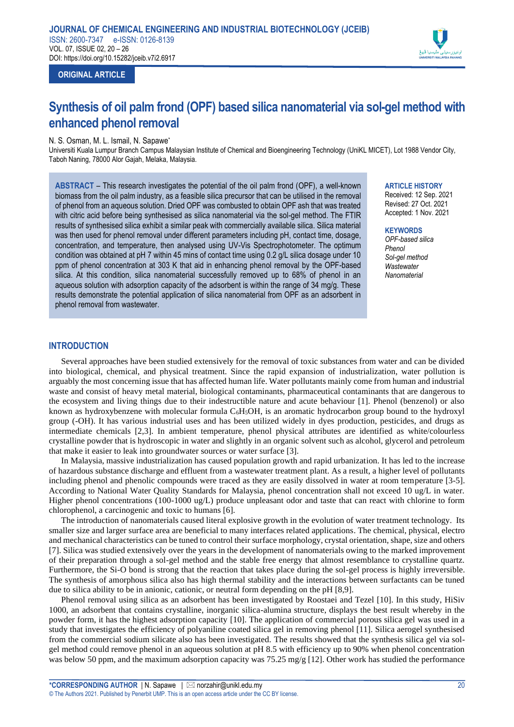

# **ORIGINAL ARTICLE**

# **Synthesis of oil palm frond (OPF) based silica nanomaterial via sol-gel method with enhanced phenol removal**

# N. S. Osman, M. L. Ismail, N. Sapawe\*

Universiti Kuala Lumpur Branch Campus Malaysian Institute of Chemical and Bioengineering Technology (UniKL MICET), Lot 1988 Vendor City, Taboh Naning, 78000 Alor Gajah, Melaka, Malaysia.

**ABSTRACT** – This research investigates the potential of the oil palm frond (OPF), a well-known biomass from the oil palm industry, as a feasible silica precursor that can be utilised in the removal of phenol from an aqueous solution. Dried OPF was combusted to obtain OPF ash that was treated with citric acid before being synthesised as silica nanomaterial via the sol-gel method. The FTIR results of synthesised silica exhibit a similar peak with commercially available silica. Silica material was then used for phenol removal under different parameters including pH, contact time, dosage, concentration, and temperature, then analysed using UV-Vis Spectrophotometer. The optimum condition was obtained at pH 7 within 45 mins of contact time using 0.2 g/L silica dosage under 10 ppm of phenol concentration at 303 K that aid in enhancing phenol removal by the OPF-based silica. At this condition, silica nanomaterial successfully removed up to 68% of phenol in an aqueous solution with adsorption capacity of the adsorbent is within the range of 34 mg/g. These results demonstrate the potential application of silica nanomaterial from OPF as an adsorbent in phenol removal from wastewater.

#### **ARTICLE HISTORY**

Received: 12 Sep. 2021 Revised: 27 Oct. 2021 Accepted: 1 Nov. 2021

# **KEYWORDS**

*OPF-based silica Phenol Sol-gel method Wastewater Nanomaterial*

# **INTRODUCTION**

Several approaches have been studied extensively for the removal of toxic substances from water and can be divided into biological, chemical, and physical treatment. Since the rapid expansion of industrialization, water pollution is arguably the most concerning issue that has affected human life. Water pollutants mainly come from human and industrial waste and consist of heavy metal material, biological contaminants, pharmaceutical contaminants that are dangerous to the ecosystem and living things due to their indestructible nature and acute behaviour [1]. Phenol (benzenol) or also known as hydroxybenzene with molecular formula C<sub>6</sub>H<sub>5</sub>OH, is an aromatic hydrocarbon group bound to the hydroxyl group (-OH). It has various industrial uses and has been utilized widely in dyes production, pesticides, and drugs as intermediate chemicals [2,3]. In ambient temperature, phenol physical attributes are identified as white/colourless crystalline powder that is hydroscopic in water and slightly in an organic solvent such as alcohol, glycerol and petroleum that make it easier to leak into groundwater sources or water surface [3].

In Malaysia, massive industrialization has caused population growth and rapid urbanization. It has led to the increase of hazardous substance discharge and effluent from a wastewater treatment plant. As a result, a higher level of pollutants including phenol and phenolic compounds were traced as they are easily dissolved in water at room temperature [3-5]. According to National Water Quality Standards for Malaysia, phenol concentration shall not exceed 10 ug/L in water. Higher phenol concentrations (100-1000 ug/L) produce unpleasant odor and taste that can react with chlorine to form chlorophenol, a carcinogenic and toxic to humans [6].

The introduction of nanomaterials caused literal explosive growth in the evolution of water treatment technology. Its smaller size and larger surface area are beneficial to many interfaces related applications. The chemical, physical, electro and mechanical characteristics can be tuned to control their surface morphology, crystal orientation, shape, size and others [7]. Silica was studied extensively over the years in the development of nanomaterials owing to the marked improvement of their preparation through a sol-gel method and the stable free energy that almost resemblance to crystalline quartz. Furthermore, the Si-O bond is strong that the reaction that takes place during the sol-gel process is highly irreversible. The synthesis of amorphous silica also has high thermal stability and the interactions between surfactants can be tuned due to silica ability to be in anionic, cationic, or neutral form depending on the pH [8,9].

Phenol removal using silica as an adsorbent has been investigated by Roostaei and Tezel [10]. In this study, HiSiv 1000, an adsorbent that contains crystalline, inorganic silica-alumina structure, displays the best result whereby in the powder form, it has the highest adsorption capacity [10]. The application of commercial porous silica gel was used in a study that investigates the efficiency of polyaniline coated silica gel in removing phenol [11]. Silica aerogel synthesised from the commercial sodium silicate also has been investigated. The results showed that the synthesis silica gel via solgel method could remove phenol in an aqueous solution at pH 8.5 with efficiency up to 90% when phenol concentration was below 50 ppm, and the maximum adsorption capacity was 75.25 mg/g [12]. Other work has studied the performance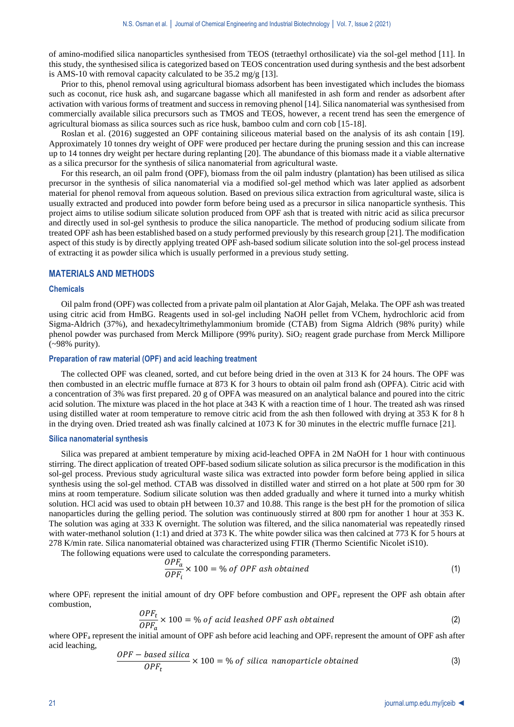of amino-modified silica nanoparticles synthesised from TEOS (tetraethyl orthosilicate) via the sol-gel method [11]. In this study, the synthesised silica is categorized based on TEOS concentration used during synthesis and the best adsorbent is AMS-10 with removal capacity calculated to be 35.2 mg/g [13].

Prior to this, phenol removal using agricultural biomass adsorbent has been investigated which includes the biomass such as coconut, rice husk ash, and sugarcane bagasse which all manifested in ash form and render as adsorbent after activation with various forms of treatment and success in removing phenol [14]. Silica nanomaterial was synthesised from commercially available silica precursors such as TMOS and TEOS, however, a recent trend has seen the emergence of agricultural biomass as silica sources such as rice husk, bamboo culm and corn cob [15-18].

Roslan et al. (2016) suggested an OPF containing siliceous material based on the analysis of its ash contain [19]. Approximately 10 tonnes dry weight of OPF were produced per hectare during the pruning session and this can increase up to 14 tonnes dry weight per hectare during replanting [20]. The abundance of this biomass made it a viable alternative as a silica precursor for the synthesis of silica nanomaterial from agricultural waste.

For this research, an oil palm frond (OPF), biomass from the oil palm industry (plantation) has been utilised as silica precursor in the synthesis of silica nanomaterial via a modified sol-gel method which was later applied as adsorbent material for phenol removal from aqueous solution. Based on previous silica extraction from agricultural waste, silica is usually extracted and produced into powder form before being used as a precursor in silica nanoparticle synthesis. This project aims to utilise sodium silicate solution produced from OPF ash that is treated with nitric acid as silica precursor and directly used in sol-gel synthesis to produce the silica nanoparticle. The method of producing sodium silicate from treated OPF ash has been established based on a study performed previously by this research group [21]. The modification aspect of this study is by directly applying treated OPF ash-based sodium silicate solution into the sol-gel process instead of extracting it as powder silica which is usually performed in a previous study setting.

#### **MATERIALS AND METHODS**

## **Chemicals**

Oil palm frond (OPF) was collected from a private palm oil plantation at Alor Gajah, Melaka. The OPF ash was treated using citric acid from HmBG. Reagents used in sol-gel including NaOH pellet from VChem, hydrochloric acid from Sigma-Aldrich (37%), and hexadecyltrimethylammonium bromide (CTAB) from Sigma Aldrich (98% purity) while phenol powder was purchased from Merck Millipore (99% purity). SiO<sub>2</sub> reagent grade purchase from Merck Millipore (~98% purity).

#### **Preparation of raw material (OPF) and acid leaching treatment**

The collected OPF was cleaned, sorted, and cut before being dried in the oven at 313 K for 24 hours. The OPF was then combusted in an electric muffle furnace at 873 K for 3 hours to obtain oil palm frond ash (OPFA). Citric acid with a concentration of 3% was first prepared. 20 g of OPFA was measured on an analytical balance and poured into the citric acid solution. The mixture was placed in the hot place at 343 K with a reaction time of 1 hour. The treated ash was rinsed using distilled water at room temperature to remove citric acid from the ash then followed with drying at 353 K for 8 h in the drying oven. Dried treated ash was finally calcined at 1073 K for 30 minutes in the electric muffle furnace [21].

#### **Silica nanomaterial synthesis**

Silica was prepared at ambient temperature by mixing acid-leached OPFA in 2M NaOH for 1 hour with continuous stirring. The direct application of treated OPF-based sodium silicate solution as silica precursor is the modification in this sol-gel process. Previous study agricultural waste silica was extracted into powder form before being applied in silica synthesis using the sol-gel method. CTAB was dissolved in distilled water and stirred on a hot plate at 500 rpm for 30 mins at room temperature. Sodium silicate solution was then added gradually and where it turned into a murky whitish solution. HCl acid was used to obtain pH between 10.37 and 10.88. This range is the best pH for the promotion of silica nanoparticles during the gelling period. The solution was continuously stirred at 800 rpm for another 1 hour at 353 K. The solution was aging at 333 K overnight. The solution was filtered, and the silica nanomaterial was repeatedly rinsed with water-methanol solution (1:1) and dried at 373 K. The white powder silica was then calcined at 773 K for 5 hours at 278 K/min rate. Silica nanomaterial obtained was characterized using FTIR (Thermo Scientific Nicolet iS10).

The following equations were used to calculate the corresponding parameters.

$$
\frac{OPF_a}{OPF_i} \times 100 = \% \text{ of } OPF \text{ ash obtained}
$$
 (1)

where  $OPF_i$  represent the initial amount of dry OPF before combustion and  $OPF_i$  represent the OPF ash obtain after combustion,

$$
\frac{OPF_t}{OPF_a} \times 100 = % of acid lesshed OPF ash obtained
$$
 (2)

where  $OPF<sub>a</sub>$  represent the initial amount of OPF ash before acid leaching and  $OPF<sub>t</sub>$  represent the amount of OPF ash after acid leaching,

$$
\frac{OPF - based\ silica}{OPF_t} \times 100 = %\ of\ silica\ nanoparticle\ obtained\tag{3}
$$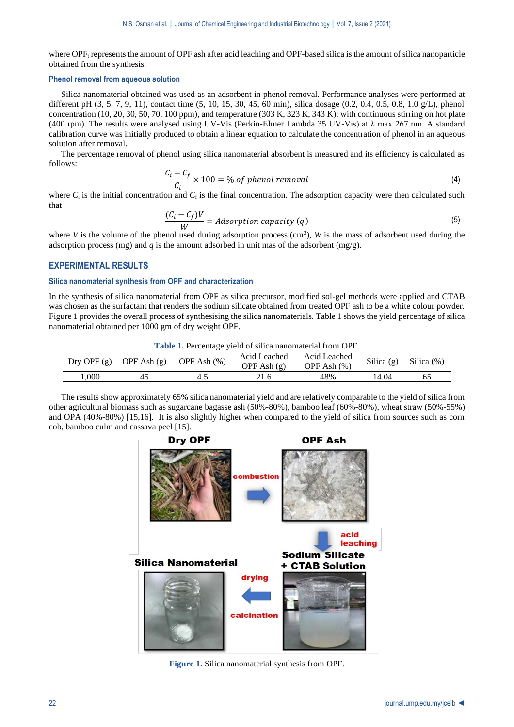where  $\text{OPF}_t$  represents the amount of OPF ash after acid leaching and OPF-based silica is the amount of silica nanoparticle obtained from the synthesis.

## **Phenol removal from aqueous solution**

Silica nanomaterial obtained was used as an adsorbent in phenol removal. Performance analyses were performed at different pH (3, 5, 7, 9, 11), contact time (5, 10, 15, 30, 45, 60 min), silica dosage (0.2, 0.4, 0.5, 0.8, 1.0 g/L), phenol concentration  $(10, 20, 30, 50, 70, 100$  ppm), and temperature  $(303 K, 323 K, 343 K)$ ; with continuous stirring on hot plate (400 rpm). The results were analysed using UV-Vis (Perkin-Elmer Lambda 35 UV-Vis) at λ max 267 nm. A standard calibration curve was initially produced to obtain a linear equation to calculate the concentration of phenol in an aqueous solution after removal.

The percentage removal of phenol using silica nanomaterial absorbent is measured and its efficiency is calculated as follows:

$$
\frac{C_i - C_f}{C_i} \times 100 = % of phenol removal
$$
\n(4)

where  $C_i$  is the initial concentration and  $C_f$  is the final concentration. The adsorption capacity were then calculated such that

$$
\frac{(C_i - C_f)V}{W} = Adsorption capacity (q)
$$
\n(5)

where *V* is the volume of the phenol used during adsorption process  $(cm^3)$ , *W* is the mass of adsorbent used during the adsorption process (mg) and  $q$  is the amount adsorbed in unit mas of the adsorbent (mg/g).

# **EXPERIMENTAL RESULTS**

# **Silica nanomaterial synthesis from OPF and characterization**

In the synthesis of silica nanomaterial from OPF as silica precursor, modified sol-gel methods were applied and CTAB was chosen as the surfactant that renders the sodium silicate obtained from treated OPF ash to be a white colour powder. Figure 1 provides the overall process of synthesising the silica nanomaterials. Table 1 shows the yield percentage of silica nanomaterial obtained per 1000 gm of dry weight OPF.

| <b>Table 1.</b> Percentage yield of silica nanomaterial from OPF. |               |                 |                               |                                 |              |            |  |  |  |  |
|-------------------------------------------------------------------|---------------|-----------------|-------------------------------|---------------------------------|--------------|------------|--|--|--|--|
| Dry OPF $(g)$                                                     | OPF Ash $(g)$ | OPF Ash $(\% )$ | Acid Leached<br>OPF Ash $(g)$ | Acid Leached<br>OPF Ash $(\% )$ | Silica $(g)$ | Silica (%) |  |  |  |  |
| 000                                                               |               | 4.5             | 21.6                          | 48%                             | 14.04        | 65         |  |  |  |  |

The results show approximately 65% silica nanomaterial yield and are relatively comparable to the yield of silica from other agricultural biomass such as sugarcane bagasse ash (50%-80%), bamboo leaf (60%-80%), wheat straw (50%-55%) and OPA (40%-80%) [15,16]. It is also slightly higher when compared to the yield of silica from sources such as corn cob, bamboo culm and cassava peel [15].



**Figure 1.** Silica nanomaterial synthesis from OPF.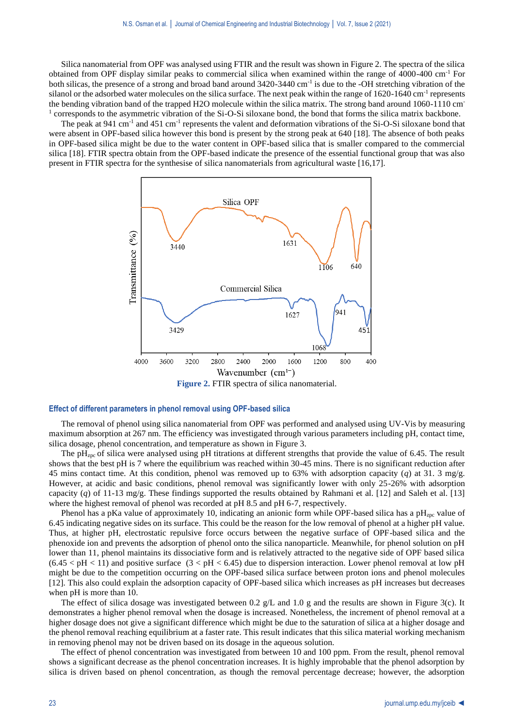Silica nanomaterial from OPF was analysed using FTIR and the result was shown in Figure 2. The spectra of the silica obtained from OPF display similar peaks to commercial silica when examined within the range of 4000-400 cm-1 For both silicas, the presence of a strong and broad band around 3420-3440 cm-1 is due to the -OH stretching vibration of the silanol or the adsorbed water molecules on the silica surface. The next peak within the range of 1620-1640 cm<sup>-1</sup> represents the bending vibration band of the trapped H2O molecule within the silica matrix. The strong band around 1060-1110 cm-<sup>1</sup> corresponds to the asymmetric vibration of the Si-O-Si siloxane bond, the bond that forms the silica matrix backbone.

The peak at 941 cm<sup>-1</sup> and 451 cm<sup>-1</sup> represents the valent and deformation vibrations of the Si-O-Si siloxane bond that were absent in OPF-based silica however this bond is present by the strong peak at 640 [18]. The absence of both peaks in OPF-based silica might be due to the water content in OPF-based silica that is smaller compared to the commercial silica [18]. FTIR spectra obtain from the OPF-based indicate the presence of the essential functional group that was also present in FTIR spectra for the synthesise of silica nanomaterials from agricultural waste [16,17].



**Figure 2.** FTIR spectra of silica nanomaterial.

#### **Effect of different parameters in phenol removal using OPF-based silica**

The removal of phenol using silica nanomaterial from OPF was performed and analysed using UV-Vis by measuring maximum absorption at 267 nm. The efficiency was investigated through various parameters including pH, contact time, silica dosage, phenol concentration, and temperature as shown in Figure 3.

The pH<sub>zpc</sub> of silica were analysed using pH titrations at different strengths that provide the value of 6.45. The result shows that the best pH is 7 where the equilibrium was reached within 30-45 mins. There is no significant reduction after 45 mins contact time. At this condition, phenol was removed up to 63% with adsorption capacity (*q*) at 31. 3 mg/g. However, at acidic and basic conditions, phenol removal was significantly lower with only 25-26% with adsorption capacity (*q*) of 11-13 mg/g. These findings supported the results obtained by Rahmani et al. [12] and Saleh et al. [13] where the highest removal of phenol was recorded at pH 8.5 and pH 6-7, respectively.

Phenol has a pKa value of approximately 10, indicating an anionic form while OPF-based silica has a  $pH_{zpc}$  value of 6.45 indicating negative sides on its surface. This could be the reason for the low removal of phenol at a higher pH value. Thus, at higher pH, electrostatic repulsive force occurs between the negative surface of OPF-based silica and the phenoxide ion and prevents the adsorption of phenol onto the silica nanoparticle. Meanwhile, for phenol solution on pH lower than 11, phenol maintains its dissociative form and is relatively attracted to the negative side of OPF based silica  $(6.45 < pH < 11)$  and positive surface  $(3 < pH < 6.45)$  due to dispersion interaction. Lower phenol removal at low pH might be due to the competition occurring on the OPF-based silica surface between proton ions and phenol molecules [12]. This also could explain the adsorption capacity of OPF-based silica which increases as pH increases but decreases when pH is more than 10.

The effect of silica dosage was investigated between 0.2 g/L and 1.0 g and the results are shown in Figure 3(c). It demonstrates a higher phenol removal when the dosage is increased. Nonetheless, the increment of phenol removal at a higher dosage does not give a significant difference which might be due to the saturation of silica at a higher dosage and the phenol removal reaching equilibrium at a faster rate. This result indicates that this silica material working mechanism in removing phenol may not be driven based on its dosage in the aqueous solution.

The effect of phenol concentration was investigated from between 10 and 100 ppm. From the result, phenol removal shows a significant decrease as the phenol concentration increases. It is highly improbable that the phenol adsorption by silica is driven based on phenol concentration, as though the removal percentage decrease; however, the adsorption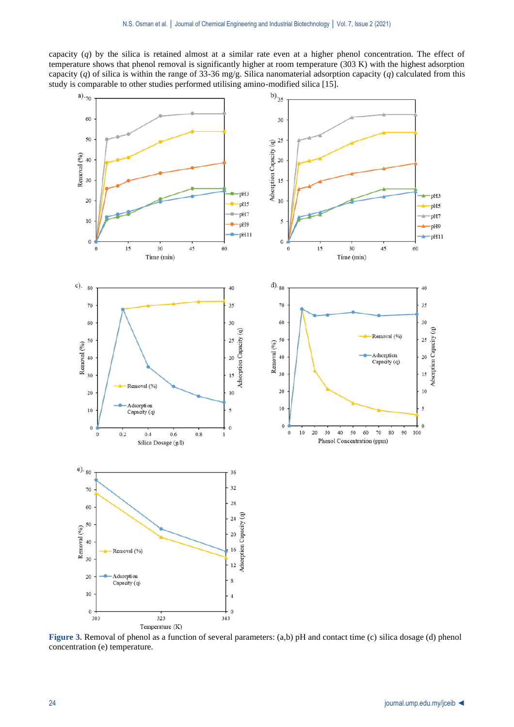capacity (*q*) by the silica is retained almost at a similar rate even at a higher phenol concentration. The effect of temperature shows that phenol removal is significantly higher at room temperature (303 K) with the highest adsorption capacity (*q*) of silica is within the range of 33-36 mg/g. Silica nanomaterial adsorption capacity (*q*) calculated from this



**Figure 3.** Removal of phenol as a function of several parameters: (a,b) pH and contact time (c) silica dosage (d) phenol concentration (e) temperature.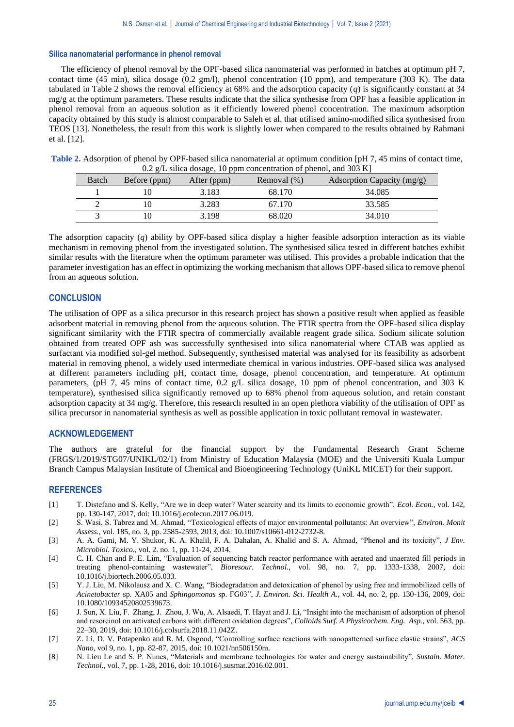## **Silica nanomaterial performance in phenol removal**

The efficiency of phenol removal by the OPF-based silica nanomaterial was performed in batches at optimum pH 7, contact time (45 min), silica dosage (0.2 gm/l), phenol concentration (10 ppm), and temperature (303 K). The data tabulated in Table 2 shows the removal efficiency at 68% and the adsorption capacity (*q*) is significantly constant at 34 mg/g at the optimum parameters. These results indicate that the silica synthesise from OPF has a feasible application in phenol removal from an aqueous solution as it efficiently lowered phenol concentration. The maximum adsorption capacity obtained by this study is almost comparable to Saleh et al. that utilised amino-modified silica synthesised from TEOS [13]. Nonetheless, the result from this work is slightly lower when compared to the results obtained by Rahmani et al. [12].

| Table 2. Adsorption of phenol by OPF-based silica nanomaterial at optimum condition [pH 7, 45 mins of contact time, |  |
|---------------------------------------------------------------------------------------------------------------------|--|
| 0.2 g/L silica dosage, 10 ppm concentration of phenol, and 303 K]                                                   |  |

| Batch | Before (ppm) | After (ppm) | Removal $(\%)$ | Adsorption Capacity (mg/g) |
|-------|--------------|-------------|----------------|----------------------------|
|       |              | 3.183       | 68.170         | 34.085                     |
|       |              | 3.283       | 67.170         | 33.585                     |
|       |              | 3.198       | 68.020         | 34,010                     |

The adsorption capacity (*q*) ability by OPF-based silica display a higher feasible adsorption interaction as its viable mechanism in removing phenol from the investigated solution. The synthesised silica tested in different batches exhibit similar results with the literature when the optimum parameter was utilised. This provides a probable indication that the parameter investigation has an effect in optimizing the working mechanism that allows OPF-based silica to remove phenol from an aqueous solution.

# **CONCLUSION**

The utilisation of OPF as a silica precursor in this research project has shown a positive result when applied as feasible adsorbent material in removing phenol from the aqueous solution. The FTIR spectra from the OPF-based silica display significant similarity with the FTIR spectra of commercially available reagent grade silica. Sodium silicate solution obtained from treated OPF ash was successfully synthesised into silica nanomaterial where CTAB was applied as surfactant via modified sol-gel method. Subsequently, synthesised material was analysed for its feasibility as adsorbent material in removing phenol, a widely used intermediate chemical in various industries. OPF-based silica was analysed at different parameters including pH, contact time, dosage, phenol concentration, and temperature. At optimum parameters, (pH 7, 45 mins of contact time, 0.2 g/L silica dosage, 10 ppm of phenol concentration, and 303 K temperature), synthesised silica significantly removed up to 68% phenol from aqueous solution, and retain constant adsorption capacity at 34 mg/g. Therefore, this research resulted in an open plethora viability of the utilisation of OPF as silica precursor in nanomaterial synthesis as well as possible application in toxic pollutant removal in wastewater.

# **ACKNOWLEDGEMENT**

The authors are grateful for the financial support by the Fundamental Research Grant Scheme (FRGS/1/2019/STG07/UNIKL/02/1) from Ministry of Education Malaysia (MOE) and the Universiti Kuala Lumpur Branch Campus Malaysian Institute of Chemical and Bioengineering Technology (UniKL MICET) for their support.

# **REFERENCES**

- [1] T. Distefano and S. Kelly, "Are we in deep water? Water scarcity and its limits to economic growth", *Ecol. Econ.*, vol. 142, pp. 130-147, 2017, doi: 10.1016/j.ecolecon.2017.06.019.
- [2] S. Wasi, S. Tabrez and M. Ahmad, "Toxicological effects of major environmental pollutants: An overview", *Environ. Monit Assess.*, vol. 185, no. 3, pp. 2585-2593, 2013, doi: 10.1007/s10661-012-2732-8.
- [3] A. A. Gami, M. Y. Shukor, K. A. Khalil, F. A. Dahalan, A. Khalid and S. A. Ahmad, "Phenol and its toxicity", *J Env. Microbiol. Toxico.*, vol. 2. no. 1, pp. 11-24, 2014.
- [4] C. H. Chan and P. E. Lim, "Evaluation of sequencing batch reactor performance with aerated and unaerated fill periods in treating phenol-containing wastewater", *Bioresour. Technol.*, vol. 98, no. 7, pp. 1333-1338, 2007, doi: 10.1016/j.biortech.2006.05.033.
- [5] Y. J. Liu, M. Nikolausz and X. C. Wang, "Biodegradation and detoxication of phenol by using free and immobilized cells of *Acinetobacter* sp. XA05 and *Sphingomonas* sp. FG03", *J. Environ. Sci. Health A.*, vol. 44, no. 2, pp. 130-136, 2009, doi: 10.1080/10934520802539673.
- [6] J. Sun, X. Liu, F. Zhang, J. Zhou, J. Wu, A. Alsaedi, T. Hayat and J. Li, "Insight into the mechanism of adsorption of phenol and resorcinol on activated carbons with different oxidation degrees", *Colloids Surf. A Physicochem. Eng. Asp.,* vol. 563, pp. 22–30, 2019, doi: 10.1016/j.colsurfa.2018.11.042Z.
- [7] Z. Li, D. V. Potapenko and R. M. Osgood, "Controlling surface reactions with nanopatterned surface elastic strains", *ACS Nano*, vol 9, no. 1, pp. 82-87, 2015, doi: 10.1021/nn506150m.
- [8] N. Lieu Le and S. P. Nunes, "Materials and membrane technologies for water and energy sustainability", *Sustain. Mater. Technol.*, vol. 7, pp. 1-28, 2016, doi: 10.1016/j.susmat.2016.02.001.